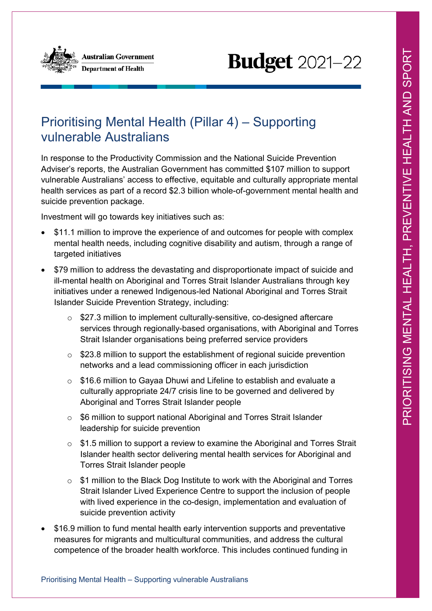

# **Budget** 2021-22

## Prioritising Mental Health (Pillar 4) – Supporting vulnerable Australians

In response to the Productivity Commission and the National Suicide Prevention Adviser's reports, the Australian Government has committed \$107 million to support vulnerable Australians' access to effective, equitable and culturally appropriate mental health services as part of a record \$2.3 billion whole-of-government mental health and suicide prevention package.

Investment will go towards key initiatives such as:

- \$11.1 million to improve the experience of and outcomes for people with complex mental health needs, including cognitive disability and autism, through a range of targeted initiatives
- \$79 million to address the devastating and disproportionate impact of suicide and ill-mental health on Aboriginal and Torres Strait Islander Australians through key initiatives under a renewed Indigenous-led National Aboriginal and Torres Strait Islander Suicide Prevention Strategy, including:
	- $\circ$  \$27.3 million to implement culturally-sensitive, co-designed aftercare services through regionally-based organisations, with Aboriginal and Torres Strait Islander organisations being preferred service providers
	- $\circ$  \$23.8 million to support the establishment of regional suicide prevention networks and a lead commissioning officer in each jurisdiction
	- $\circ$  \$16.6 million to Gayaa Dhuwi and Lifeline to establish and evaluate a culturally appropriate 24/7 crisis line to be governed and delivered by Aboriginal and Torres Strait Islander people
	- o \$6 million to support national Aboriginal and Torres Strait Islander leadership for suicide prevention
	- $\circ$  \$1.5 million to support a review to examine the Aboriginal and Torres Strait Islander health sector delivering mental health services for Aboriginal and Torres Strait Islander people
	- \$1 million to the Black Dog Institute to work with the Aboriginal and Torres Strait Islander Lived Experience Centre to support the inclusion of people with lived experience in the co-design, implementation and evaluation of suicide prevention activity
- \$16.9 million to fund mental health early intervention supports and preventative measures for migrants and multicultural communities, and address the cultural competence of the broader health workforce. This includes continued funding in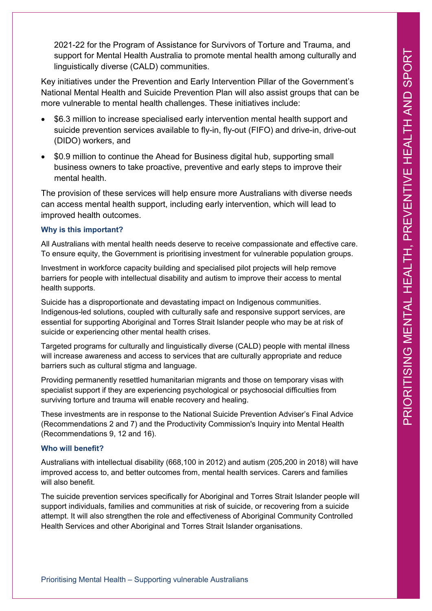2021-22 for the Program of Assistance for Survivors of Torture and Trauma, and support for Mental Health Australia to promote mental health among culturally and linguistically diverse (CALD) communities.

Key initiatives under the Prevention and Early Intervention Pillar of the Government's National Mental Health and Suicide Prevention Plan will also assist groups that can be more vulnerable to mental health challenges. These initiatives include:

- \$6.3 million to increase specialised early intervention mental health support and suicide prevention services available to fly-in, fly-out (FIFO) and drive-in, drive-out (DIDO) workers, and
- \$0.9 million to continue the Ahead for Business digital hub, supporting small business owners to take proactive, preventive and early steps to improve their mental health.

The provision of these services will help ensure more Australians with diverse needs can access mental health support, including early intervention, which will lead to improved health outcomes.

### **Why is this important?**

All Australians with mental health needs deserve to receive compassionate and effective care. To ensure equity, the Government is prioritising investment for vulnerable population groups.

Investment in workforce capacity building and specialised pilot projects will help remove barriers for people with intellectual disability and autism to improve their access to mental health supports.

Suicide has a disproportionate and devastating impact on Indigenous communities. Indigenous-led solutions, coupled with culturally safe and responsive support services, are essential for supporting Aboriginal and Torres Strait Islander people who may be at risk of suicide or experiencing other mental health crises.

Targeted programs for culturally and linguistically diverse (CALD) people with mental illness will increase awareness and access to services that are culturally appropriate and reduce barriers such as cultural stigma and language.

Providing permanently resettled humanitarian migrants and those on temporary visas with specialist support if they are experiencing psychological or psychosocial difficulties from surviving torture and trauma will enable recovery and healing.

These investments are in response to the National Suicide Prevention Adviser's Final Advice (Recommendations 2 and 7) and the Productivity Commission's Inquiry into Mental Health (Recommendations 9, 12 and 16).

### **Who will benefit?**

Australians with intellectual disability (668,100 in 2012) and autism (205,200 in 2018) will have improved access to, and better outcomes from, mental health services. Carers and families will also benefit.

The suicide prevention services specifically for Aboriginal and Torres Strait Islander people will support individuals, families and communities at risk of suicide, or recovering from a suicide attempt. It will also strengthen the role and effectiveness of Aboriginal Community Controlled Health Services and other Aboriginal and Torres Strait Islander organisations.